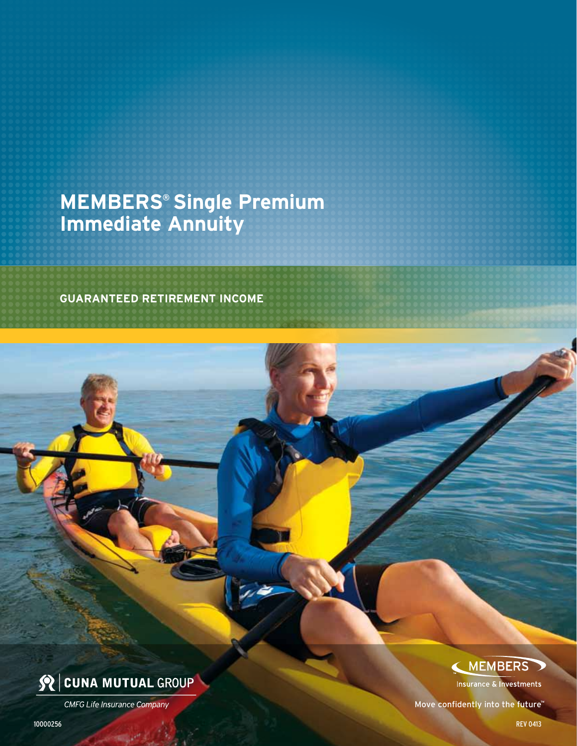## **MEMBERS® Single Premium Immediate Annuity**

**GUARANTEED retirement income**



**CMFG Life Insurance Company** 

### MEMBERS

**Insurance & Investments** 

Move confidently into the future™

10000256 Rev 0413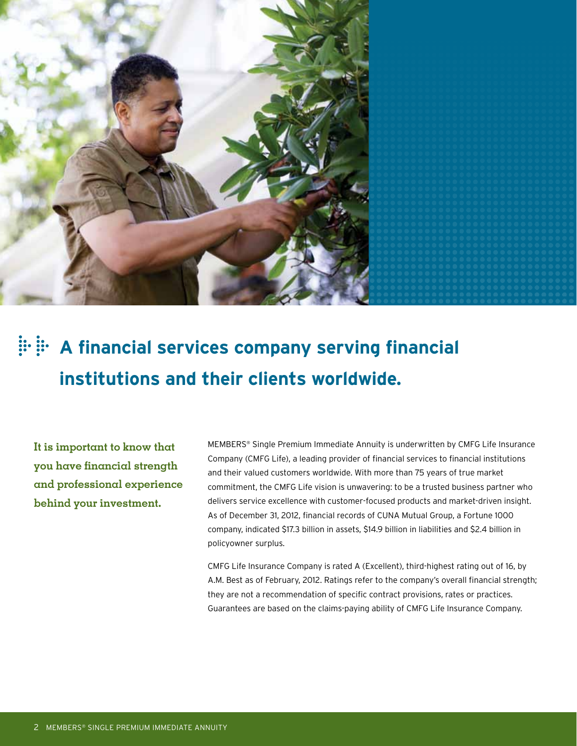

# **A financial services company serving financial institutions and their clients worldwide.**

**It is important to know that you have financial strength and professional experience behind your investment.**

MEMBERS® Single Premium Immediate Annuity is underwritten by CMFG Life Insurance Company (CMFG Life), a leading provider of financial services to financial institutions and their valued customers worldwide. With more than 75 years of true market commitment, the CMFG Life vision is unwavering: to be a trusted business partner who delivers service excellence with customer-focused products and market-driven insight. As of December 31, 2012, financial records of CUNA Mutual Group, a Fortune 1000 company, indicated \$17.3 billion in assets, \$14.9 billion in liabilities and \$2.4 billion in policyowner surplus.

CMFG Life Insurance Company is rated A (Excellent), third-highest rating out of 16, by A.M. Best as of February, 2012. Ratings refer to the company's overall financial strength; they are not a recommendation of specific contract provisions, rates or practices. Guarantees are based on the claims-paying ability of CMFG Life Insurance Company.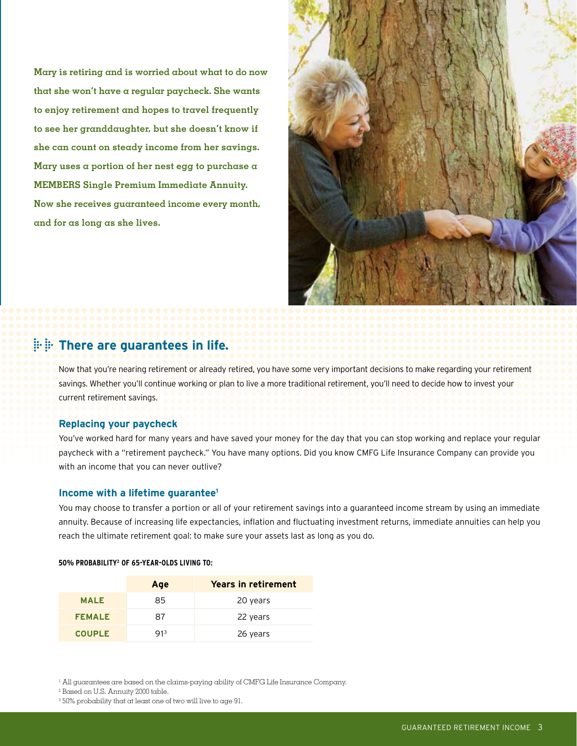**Mary is retiring and is worried about what to do now that she won't have a regular paycheck. She wants to enjoy retirement and hopes to travel frequently to see her granddaughter, but she doesn't know if she can count on steady income from her savings. Mary uses a portion of her nest egg to purchase a MEMBERS Single Premium Immediate Annuity. Now she receives guaranteed income every month, and for as long as she lives.**



### **There are guarantees in life.**

Now that you're nearing retirement or already retired, you have some very important decisions to make regarding your retirement savings. Whether you'll continue working or plan to live a more traditional retirement, you'll need to decide how to invest your current retirement savings.

### **Replacing your paycheck**

You've worked hard for many years and have saved your money for the day that you can stop working and replace your regular paycheck with a "retirement paycheck." You have many options. Did you know CMFG Life Insurance Company can provide you with an income that you can never outlive?

### **Income with a lifetime guarantee1**

You may choose to transfer a portion or all of your retirement savings into a guaranteed income stream by using an immediate annuity. Because of increasing life expectancies, inflation and fluctuating investment returns, immediate annuities can help you reach the ultimate retirement goal: to make sure your assets last as long as you do.

#### **50% probability2 of 65-year-olds living to:**

|               | Age             | <b>Years in retirement</b> |
|---------------|-----------------|----------------------------|
| <b>MALE</b>   | 85              | 20 years                   |
| <b>FEMALE</b> | 87              | 22 years                   |
| <b>COUPLE</b> | 91 <sup>3</sup> | 26 years                   |

 $1$  All guarantees are based on the claims-paying ability of CMFG Life Insurance Company.

<sup>2</sup> Based on U.S. Annuity 2000 table.

<sup>3</sup> 50% probability that at least one of two will live to age 91.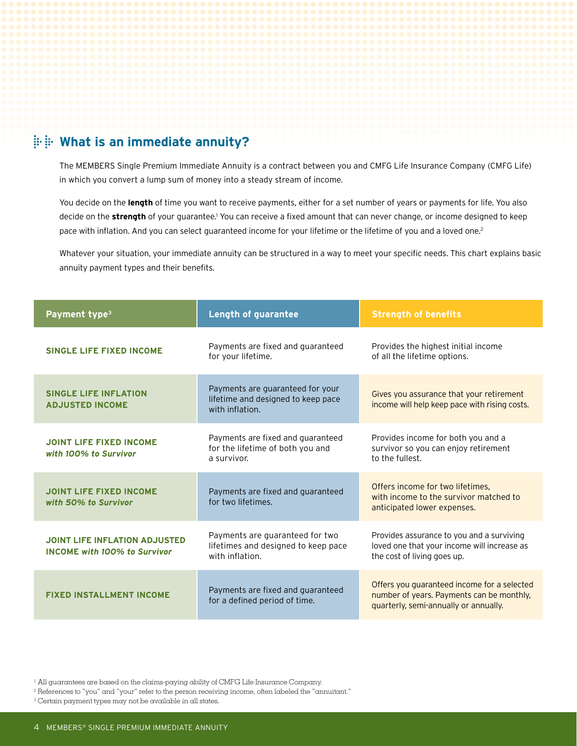### **What is an immediate annuity?**

The MEMBERS Single Premium Immediate Annuity is a contract between you and CMFG Life Insurance Company (CMFG Life) in which you convert a lump sum of money into a steady stream of income.

You decide on the **length** of time you want to receive payments, either for a set number of years or payments for life. You also decide on the strength of your guarantee.<sup>1</sup> You can receive a fixed amount that can never change, or income designed to keep pace with inflation. And you can select guaranteed income for your lifetime or the lifetime of you and a loved one.<sup>2</sup>

Whatever your situation, your immediate annuity can be structured in a way to meet your specific needs. This chart explains basic annuity payment types and their benefits.

| Payment type <sup>3</sup>                                                   | <b>Length of guarantee</b>                                                                | <b>Strength of benefits</b>                                                                                                       |  |
|-----------------------------------------------------------------------------|-------------------------------------------------------------------------------------------|-----------------------------------------------------------------------------------------------------------------------------------|--|
| <b>SINGLE LIFE FIXED INCOME</b>                                             | Payments are fixed and guaranteed<br>for your lifetime.                                   | Provides the highest initial income<br>of all the lifetime options.                                                               |  |
| <b>SINGLE LIFE INFLATION</b><br><b>ADJUSTED INCOME</b>                      | Payments are guaranteed for your<br>lifetime and designed to keep pace<br>with inflation. | Gives you assurance that your retirement<br>income will help keep pace with rising costs.                                         |  |
| <b>JOINT LIFE FIXED INCOME</b><br>with 100% to Survivor                     | Payments are fixed and guaranteed<br>for the lifetime of both you and<br>a survivor.      | Provides income for both you and a<br>survivor so you can enjoy retirement<br>to the fullest.                                     |  |
| <b>JOINT LIFE FIXED INCOME</b><br>with 50% to Survivor                      | Payments are fixed and guaranteed<br>for two lifetimes.                                   | Offers income for two lifetimes,<br>with income to the survivor matched to<br>anticipated lower expenses.                         |  |
| <b>JOINT LIFE INFLATION ADJUSTED</b><br><b>INCOME with 100% to Survivor</b> | Payments are guaranteed for two<br>lifetimes and designed to keep pace<br>with inflation. | Provides assurance to you and a surviving<br>loved one that your income will increase as<br>the cost of living goes up.           |  |
| <b>FIXED INSTALLMENT INCOME</b>                                             | Payments are fixed and guaranteed<br>for a defined period of time.                        | Offers you guaranteed income for a selected<br>number of years. Payments can be monthly,<br>quarterly, semi-annually or annually. |  |

<sup>1</sup> All guarantees are based on the claims-paying ability of CMFG Life Insurance Company.

<sup>2</sup> References to "you" and "your" refer to the person receiving income, often labeled the "annuitant."

<sup>3</sup> Certain payment types may not be available in all states.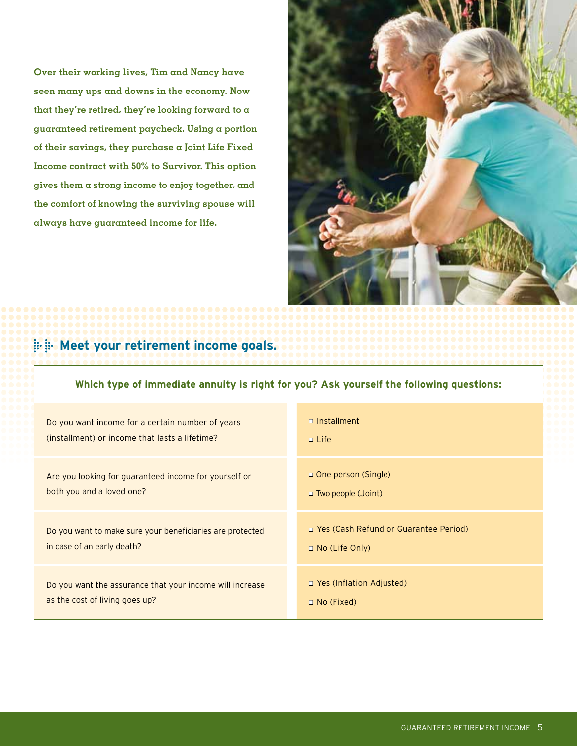**Over their working lives, Tim and Nancy have seen many ups and downs in the economy. Now that they're retired, they're looking forward to a guaranteed retirement paycheck. Using a portion of their savings, they purchase a Joint Life Fixed Income contract with 50% to Survivor. This option gives them a strong income to enjoy together, and the comfort of knowing the surviving spouse will always have guaranteed income for life.**



### **Meet your retirement income goals.**

### **Which type of immediate annuity is right for you? Ask yourself the following questions:**

| Do you want income for a certain number of years          | $\Box$ Installment                      |  |
|-----------------------------------------------------------|-----------------------------------------|--|
| (installment) or income that lasts a lifetime?            | $\Box$ Life                             |  |
| Are you looking for guaranteed income for yourself or     | $\Box$ One person (Single)              |  |
| both you and a loved one?                                 | $\Box$ Two people (Joint)               |  |
| Do you want to make sure your beneficiaries are protected | □ Yes (Cash Refund or Guarantee Period) |  |
| in case of an early death?                                | $\Box$ No (Life Only)                   |  |
| Do you want the assurance that your income will increase  | □ Yes (Inflation Adjusted)              |  |
| as the cost of living goes up?                            | $\Box$ No (Fixed)                       |  |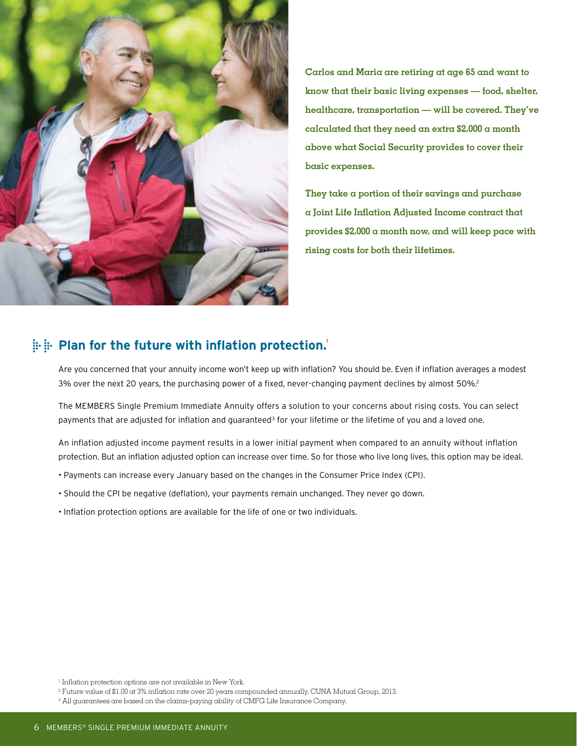

**Carlos and Maria are retiring at age 65 and want to know that their basic living expenses — food, shelter, healthcare, transportation — will be covered. They've calculated that they need an extra \$2,000 a month above what Social Security provides to cover their basic expenses.** 

**They take a portion of their savings and purchase a Joint Life Inflation Adjusted Income contract that provides \$2,000 a month now, and will keep pace with rising costs for both their lifetimes.**

### **Plan for the future with inflation protection.**<sup>1</sup>

Are you concerned that your annuity income won't keep up with inflation? You should be. Even if inflation averages a modest 3% over the next 20 years, the purchasing power of a fixed, never-changing payment declines by almost 50%.2

The MEMBERS Single Premium Immediate Annuity offers a solution to your concerns about rising costs. You can select payments that are adjusted for inflation and guaranteed<sup>3</sup> for your lifetime or the lifetime of you and a loved one.

An inflation adjusted income payment results in a lower initial payment when compared to an annuity without inflation protection. But an inflation adjusted option can increase over time. So for those who live long lives, this option may be ideal.

- Payments can increase every January based on the changes in the Consumer Price Index (CPI).
- Should the CPI be negative (deflation), your payments remain unchanged. They never go down.
- Inflation protection options are available for the life of one or two individuals.

<sup>1</sup> Inflation protection options are not available in New York.

<sup>2</sup> Future value of \$1.00 at 3% inflation rate over 20 years compounded annually, CUNA Mutual Group, 2013.

<sup>&</sup>lt;sup>3</sup> All guarantees are based on the claims-paying ability of CMFG Life Insurance Company.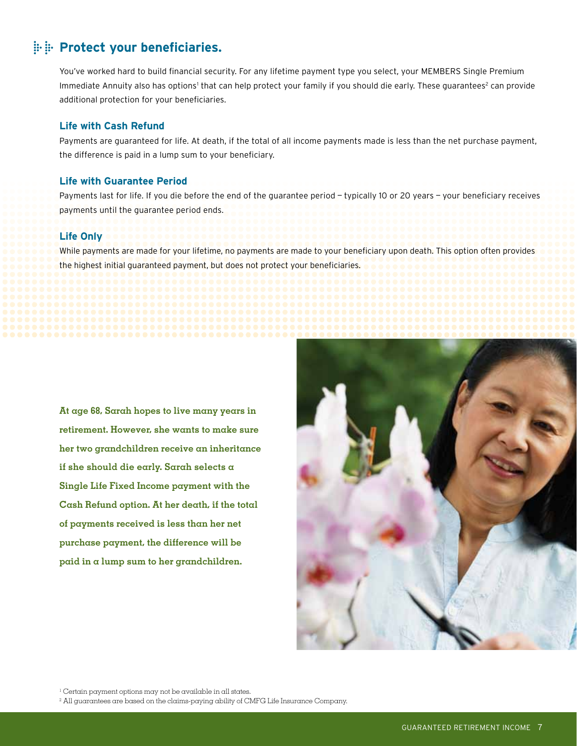### **Protect your beneficiaries.**

You've worked hard to build financial security. For any lifetime payment type you select, your MEMBERS Single Premium Immediate Annuity also has options<sup>1</sup> that can help protect your family if you should die early. These guarantees<sup>2</sup> can provide additional protection for your beneficiaries.

### **Life with Cash Refund**

Payments are guaranteed for life. At death, if the total of all income payments made is less than the net purchase payment, the difference is paid in a lump sum to your beneficiary.

### **Life with Guarantee Period**

Payments last for life. If you die before the end of the guarantee period — typically 10 or 20 years — your beneficiary receives payments until the guarantee period ends.

### **Life Only**

While payments are made for your lifetime, no payments are made to your beneficiary upon death. This option often provides the highest initial guaranteed payment, but does not protect your beneficiaries.

**At age 68, Sarah hopes to live many years in retirement. However, she wants to make sure her two grandchildren receive an inheritance if she should die early. Sarah selects a Single Life Fixed Income payment with the Cash Refund option. At her death, if the total of payments received is less than her net purchase payment, the difference will be paid in a lump sum to her grandchildren.**



<sup>1</sup> Certain payment options may not be available in all states.

 $2$  All guarantees are based on the claims-paying ability of CMFG Life Insurance Company.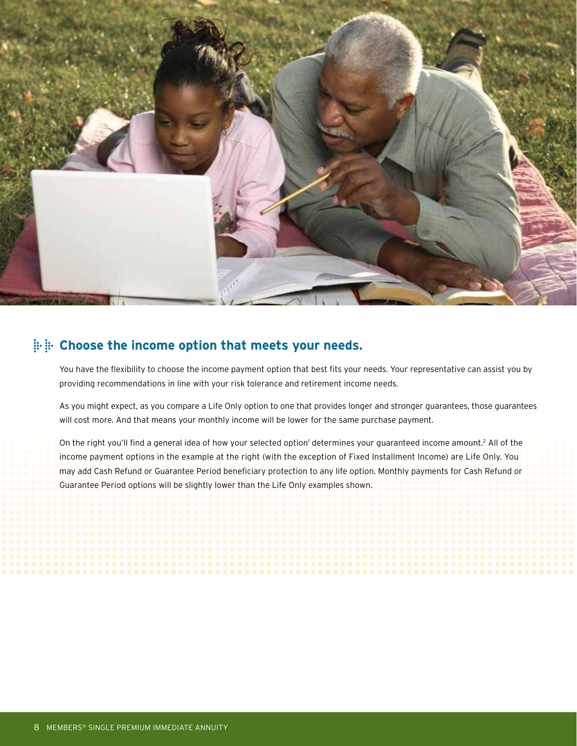

### **Choose the income option that meets your needs.**

You have the flexibility to choose the income payment option that best fits your needs. Your representative can assist you by providing recommendations in line with your risk tolerance and retirement income needs.

As you might expect, as you compare a Life Only option to one that provides longer and stronger guarantees, those guarantees will cost more. And that means your monthly income will be lower for the same purchase payment.

On the right you'll find a general idea of how your selected option<sup>1</sup> determines your guaranteed income amount.<sup>2</sup> All of the income payment options in the example at the right (with the exception of Fixed Installment Income) are Life Only. You may add Cash Refund or Guarantee Period beneficiary protection to any life option. Monthly payments for Cash Refund or Guarantee Period options will be slightly lower than the Life Only examples shown.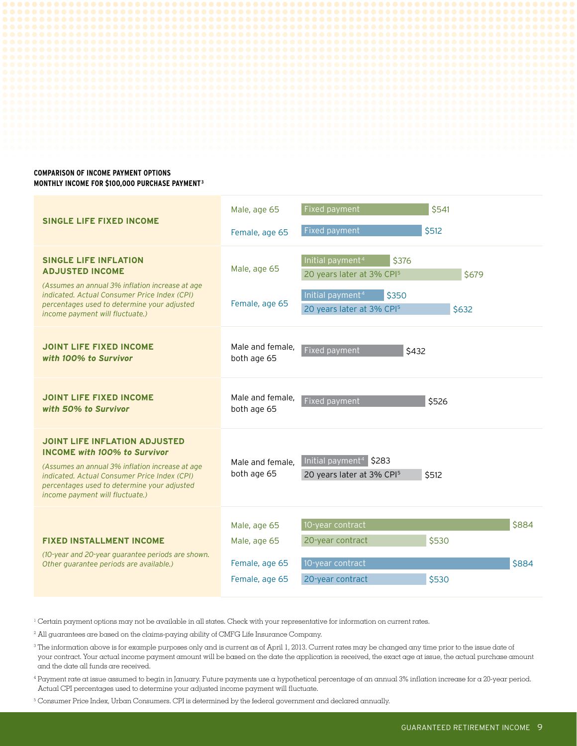

### **MONTHLY INCOME FOR \$100,000 purchase paymenT3**

| <b>SINGLE LIFE FIXED INCOME</b>                                                                                                                                                                                                                                  | Male, age 65<br>Female, age 65                                   | Fixed payment<br>Fixed payment                                                                                                                                   | \$541<br>\$512 |                |
|------------------------------------------------------------------------------------------------------------------------------------------------------------------------------------------------------------------------------------------------------------------|------------------------------------------------------------------|------------------------------------------------------------------------------------------------------------------------------------------------------------------|----------------|----------------|
| <b>SINGLE LIFE INFLATION</b><br><b>ADJUSTED INCOME</b><br>(Assumes an annual 3% inflation increase at age<br>indicated. Actual Consumer Price Index (CPI)<br>percentages used to determine your adjusted<br>income payment will fluctuate.)                      | Male, age 65<br>Female, age 65                                   | Initial payment <sup>4</sup><br>\$376<br>20 years later at 3% CPI <sup>5</sup><br>Initial payment <sup>4</sup><br>\$350<br>20 years later at 3% CPI <sup>5</sup> | \$679<br>\$632 |                |
| <b>JOINT LIFE FIXED INCOME</b><br>with 100% to Survivor                                                                                                                                                                                                          | Male and female.<br>both age 65                                  | Fixed payment<br>\$432                                                                                                                                           |                |                |
| <b>JOINT LIFE FIXED INCOME</b><br>with 50% to Survivor                                                                                                                                                                                                           | Male and female,<br>both age 65                                  | Fixed payment                                                                                                                                                    | \$526          |                |
| <b>JOINT LIFE INFLATION ADJUSTED</b><br><b>INCOME with 100% to Survivor</b><br>(Assumes an annual 3% inflation increase at age<br>indicated. Actual Consumer Price Index (CPI)<br>percentages used to determine your adjusted<br>income payment will fluctuate.) | Male and female.<br>both age 65                                  | Initial payment <sup>4</sup> \$283<br>20 years later at 3% CPI <sup>5</sup>                                                                                      | \$512          |                |
| <b>FIXED INSTALLMENT INCOME</b><br>(10-year and 20-year quarantee periods are shown.<br>Other guarantee periods are available.)                                                                                                                                  | Male, age 65<br>Male, age 65<br>Female, age 65<br>Female, age 65 | 10-year contract<br>20-year contract<br>10-year contract<br>20-year contract                                                                                     | \$530<br>\$530 | \$884<br>\$884 |

 $1$  Certain payment options may not be available in all states. Check with your representative for information on current rates.

<sup>2</sup> All guarantees are based on the claims-paying ability of CMFG Life Insurance Company.

- <sup>3</sup> The information above is for example purposes only and is current as of April 1, 2013. Current rates may be changed any time prior to the issue date of your contract. Your actual income payment amount will be based on the date the application is received, the exact age at issue, the actual purchase amount and the date all funds are received.
- <sup>4</sup> Payment rate at issue assumed to begin in January. Future payments use a hypothetical percentage of an annual 3% inflation increase for a 20-year period. Actual CPI percentages used to determine your adjusted income payment will fluctuate.
- <sup>5</sup> Consumer Price Index, Urban Consumers. CPI is determined by the federal government and declared annually.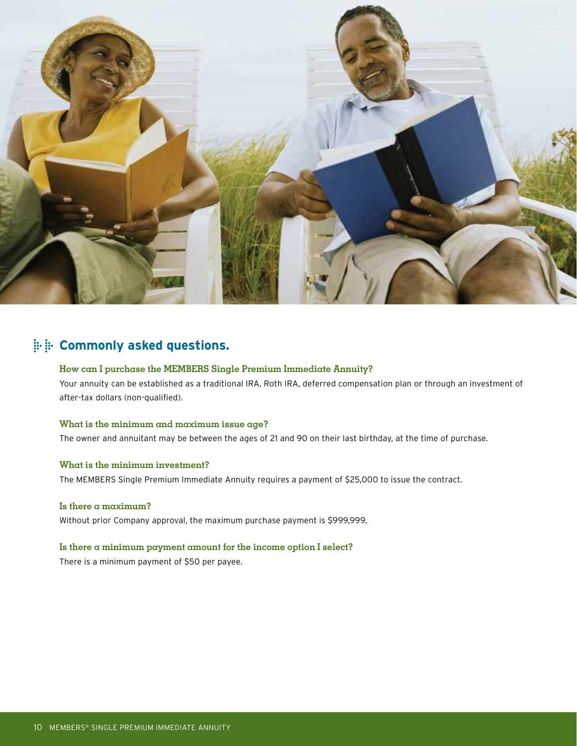

### **EXALLET:** Commonly asked questions.

### **How can I purchase the MEMBERS Single Premium Immediate Annuity?**

Your annuity can be established as a traditional IRA, Roth IRA, deferred compensation plan or through an investment of after-tax dollars (non-qualified).

#### **What is the minimum and maximum issue age?**

The owner and annuitant may be between the ages of 21 and 90 on their last birthday, at the time of purchase.

#### **What is the minimum investment?**

The MEMBERS Single Premium Immediate Annuity requires a payment of \$25,000 to issue the contract.

#### **Is there a maximum?**

Without prior Company approval, the maximum purchase payment is \$999,999.

#### **Is there a minimum payment amount for the income option I select?**

There is a minimum payment of \$50 per payee.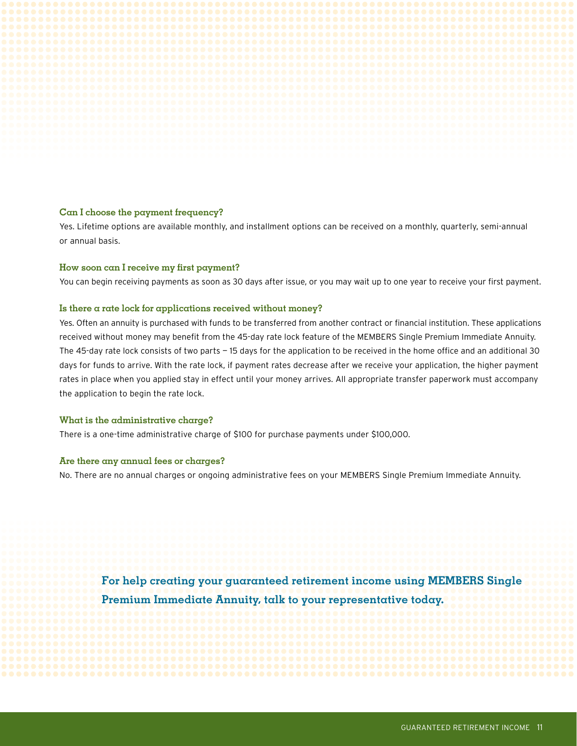### **Can I choose the payment frequency?**

Yes. Lifetime options are available monthly, and installment options can be received on a monthly, quarterly, semi-annual or annual basis.

#### **How soon can I receive my first payment?**

You can begin receiving payments as soon as 30 days after issue, or you may wait up to one year to receive your first payment.

#### **Is there a rate lock for applications received without money?**

Yes. Often an annuity is purchased with funds to be transferred from another contract or financial institution. These applications received without money may benefit from the 45-day rate lock feature of the MEMBERS Single Premium Immediate Annuity. The 45-day rate lock consists of two parts — 15 days for the application to be received in the home office and an additional 30 days for funds to arrive. With the rate lock, if payment rates decrease after we receive your application, the higher payment rates in place when you applied stay in effect until your money arrives. All appropriate transfer paperwork must accompany the application to begin the rate lock.

#### **What is the administrative charge?**

There is a one-time administrative charge of \$100 for purchase payments under \$100,000.

#### **Are there any annual fees or charges?**

No. There are no annual charges or ongoing administrative fees on your MEMBERS Single Premium Immediate Annuity.

**For help creating your guaranteed retirement income using MEMBERS Single Premium Immediate Annuity, talk to your representative today.**